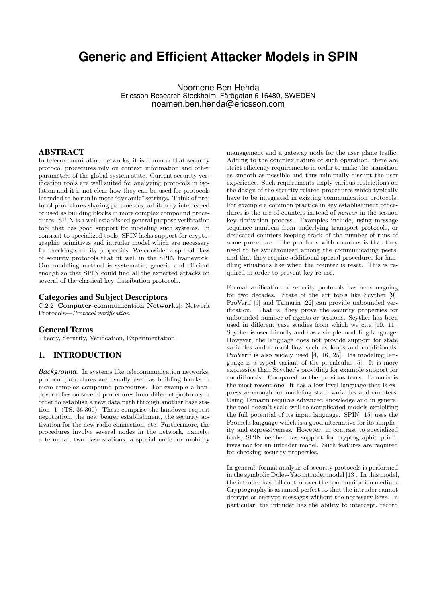# **Generic and Efficient Attacker Models in SPIN**

Noomene Ben Henda Ericsson Research Stockholm, Färögatan 6 16480, SWEDEN noamen.ben.henda@ericsson.com

# ABSTRACT

In telecommunication networks, it is common that security protocol procedures rely on context information and other parameters of the global system state. Current security verification tools are well suited for analyzing protocols in isolation and it is not clear how they can be used for protocols intended to be run in more "dynamic" settings. Think of protocol procedures sharing parameters, arbitrarily interleaved or used as building blocks in more complex compound procedures. SPIN is a well established general purpose verification tool that has good support for modeling such systems. In contrast to specialized tools, SPIN lacks support for cryptographic primitives and intruder model which are necessary for checking security properties. We consider a special class of security protocols that fit well in the SPIN framework. Our modeling method is systematic, generic and efficient enough so that SPIN could find all the expected attacks on several of the classical key distribution protocols.

## Categories and Subject Descriptors

C.2.2 [Computer-communication Networks]: Network Protocols—*Protocol verification*

## General Terms

Theory, Security, Verification, Experimentation

# 1. INTRODUCTION

*Background.* In systems like telecommunication networks, protocol procedures are usually used as building blocks in more complex compound procedures. For example a handover relies on several procedures from different protocols in order to establish a new data path through another base station [1] (TS. 36.300). These comprise the handover request negotiation, the new bearer establishment, the security activation for the new radio connection, etc. Furthermore, the procedures involve several nodes in the network, namely: a terminal, two base stations, a special node for mobility

management and a gateway node for the user plane traffic. Adding to the complex nature of such operation, there are strict efficiency requirements in order to make the transition as smooth as possible and thus minimally disrupt the user experience. Such requirements imply various restrictions on the design of the security related procedures which typically have to be integrated in existing communication protocols. For example a common practice in key establishment procedures is the use of counters instead of *nonces* in the session key derivation process. Examples include, using message sequence numbers from underlying transport protocols, or dedicated counters keeping track of the number of runs of some procedure. The problems with counters is that they need to be synchronized among the communicating peers, and that they require additional special procedures for handling situations like when the counter is reset. This is required in order to prevent key re-use.

Formal verification of security protocols has been ongoing for two decades. State of the art tools like Scyther [9], ProVerif [6] and Tamarin [22] can provide unbounded verification. That is, they prove the security properties for unbounded number of agents or sessions. Scyther has been used in different case studies from which we cite [10, 11]. Scyther is user friendly and has a simple modeling language. However, the language does not provide support for state variables and control flow such as loops and conditionals. ProVerif is also widely used [4, 16, 25]. Its modeling language is a typed variant of the pi calculus [5]. It is more expressive than Scyther's providing for example support for conditionals. Compared to the previous tools, Tamarin is the most recent one. It has a low level language that is expressive enough for modeling state variables and counters. Using Tamarin requires advanced knowledge and in general the tool doesn't scale well to complicated models exploiting the full potential of its input language. SPIN [15] uses the Promela language which is a good alternative for its simplicity and expressiveness. However, in contrast to specialized tools, SPIN neither has support for cryptographic primitives nor for an intruder model. Such features are required for checking security properties.

In general, formal analysis of security protocols is performed in the symbolic Dolev-Yao intruder model [13]. In this model, the intruder has full control over the communication medium. Cryptography is assumed perfect so that the intruder cannot decrypt or encrypt messages without the necessary keys. In particular, the intruder has the ability to intercept, record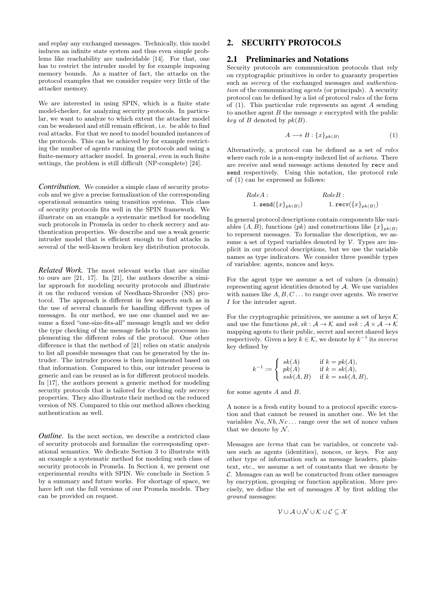and replay any exchanged messages. Technically, this model induces an infinite state system and thus even simple problems like reachability are undecidable [14]. For that, one has to restrict the intruder model by for example imposing memory bounds. As a matter of fact, the attacks on the protocol examples that we consider require very little of the attacker memory.

We are interested in using SPIN, which is a finite state model-checker, for analyzing security protocols. In particular, we want to analyze to which extent the attacker model can be weakened and still remain efficient, i.e. be able to find real attacks. For that we need to model bounded instances of the protocols. This can be achieved by for example restricting the number of agents running the protocols and using a finite-memory attacker model. In general, even in such finite settings, the problem is still difficult (NP-complete) [24].

*Contribution.* We consider a simple class of security protocols and we give a precise formalization of the corresponding operational semantics using transition systems. This class of security protocols fits well in the SPIN framework. We illustrate on an example a systematic method for modeling such protocols in Promela in order to check secrecy and authentication properties. We describe and use a weak generic intruder model that is efficient enough to find attacks in several of the well-known broken key distribution protocols.

*Related Work.* The most relevant works that are similar to ours are [21, 17]. In [21], the authors describe a similar approach for modeling security protocols and illustrate it on the reduced version of Needham-Shroeder (NS) protocol. The approach is different in few aspects such as in the use of several channels for handling different types of messages. In our method, we use one channel and we assume a fixed "one-size-fits-all" message length and we defer the type checking of the message fields to the processes implementing the different roles of the protocol. One other difference is that the method of [21] relies on static analysis to list all possible messages that can be generated by the intruder. The intruder process is then implemented based on that information. Compared to this, our intruder process is generic and can be reused as is for different protocol models. In [17], the authors present a generic method for modeling security protocols that is tailored for checking only secrecy properties. They also illustrate their method on the reduced version of NS. Compared to this our method allows checking authentication as well.

*Outline*. In the next section, we describe a restricted class of security protocols and formalize the corresponding operational semantics. We dedicate Section 3 to illustrate with an example a systematic method for modeling such class of security protocols in Promela. In Section 4, we present our experimental results with SPIN. We conclude in Section 5 by a summary and future works. For shortage of space, we have left out the full versions of our Promela models. They can be provided on request.

# 2. SECURITY PROTOCOLS

# 2.1 Preliminaries and Notations

Security protocols are communication protocols that rely on cryptographic primitives in order to guaranty properties such as *secrecy* of the exchanged messages and *authentication* of the communicating *agents* (or principals). A security protocol can be defined by a list of protocol *rules* of the form of  $(1)$ . This particular rule represents an agent A sending to another agent  $B$  the message  $x$  encrypted with the public *key* of  $B$  denoted by  $pk(B)$ .

$$
A \longrightarrow B: \{x\}_{pk(B)} \tag{1}
$$

Alternatively, a protocol can be defined as a set of *roles* where each role is a non-empty indexed list of *actions*. There are receive and send message actions denoted by recv and send respectively. Using this notation, the protocol rule of (1) can be expressed as follows:

RoleA : RoleB : 1. send({x}pk(B)) 1. recv({x}pk(B))

In general protocol descriptions contain components like variables  $(A, B)$ , functions  $(pk)$  and constructions like  $\{x\}_{nk(B)}$ to represent messages. To formalize the description, we assume a set of typed variables denoted by  $V$ . Types are implicit in our protocol descriptions, but we use the variable names as type indicators. We consider three possible types of variables: agents, nonces and keys.

For the agent type we assume a set of values (a domain) representing agent identities denoted by A. We use variables with names like  $A, B, C \ldots$  to range over agents. We reserve I for the intruder agent.

For the cryptographic primitives, we assume a set of keys  $K$ and use the functions  $pk, sk : A \rightarrow K$  and  $ssk : A \times A \rightarrow K$ mapping agents to their public, secret and secret shared keys respectively. Given a key  $k \in \mathcal{K}$ , we denote by  $k^{-1}$  its *inverse* key defined by

$$
k^{-1} := \begin{cases} sk(A) & \text{if } k = pk(A), \\ pk(A) & \text{if } k = sk(A), \\ ssk(A, B) & \text{if } k = ssk(A, B), \end{cases}
$$

for some agents A and B.

A nonce is a fresh entity bound to a protocol specific execution and that cannot be reused in another one. We let the variables  $Na, Nb, Nc \dots$  range over the set of nonce values that we denote by  $N$ .

Messages are *terms* that can be variables, or concrete values such as agents (identities), nonces, or keys. For any other type of information such as message headers, plaintext, etc., we assume a set of constants that we denote by C. Messages can as well be constructed from other messages by encryption, grouping or function application. More precisely, we define the set of messages  $\mathcal X$  by first adding the *ground* messages:

$$
\mathcal{V} \cup \mathcal{A} \cup \mathcal{N} \cup \mathcal{K} \cup \mathcal{C} \subseteq \mathcal{X}
$$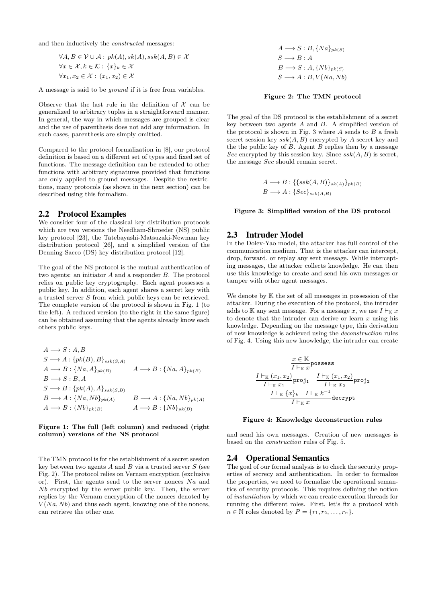and then inductively the *constructed* messages:

$$
\forall A, B \in \mathcal{V} \cup \mathcal{A} : pk(A), sk(A), ssk(A, B) \in \mathcal{X}
$$
  

$$
\forall x \in \mathcal{X}, k \in \mathcal{K} : \{x\}_k \in \mathcal{X}
$$
  

$$
\forall x_1, x_2 \in \mathcal{X} : (x_1, x_2) \in \mathcal{X}
$$

A message is said to be *ground* if it is free from variables.

Observe that the last rule in the definition of  $\mathcal X$  can be generalized to arbitrary tuples in a straightforward manner. In general, the way in which messages are grouped is clear and the use of parenthesis does not add any information. In such cases, parenthesis are simply omitted.

Compared to the protocol formalization in [8], our protocol definition is based on a different set of types and fixed set of functions. The message definition can be extended to other functions with arbitrary signatures provided that functions are only applied to ground messages. Despite the restrictions, many protocols (as shown in the next section) can be described using this formalism.

## 2.2 Protocol Examples

We consider four of the classical key distribution protocols which are two versions the Needham-Shroeder (NS) public key protocol [23], the Tatebayashi-Matsuzaki-Newman key distribution protocol [26], and a simplified version of the Denning-Sacco (DS) key distribution protocol [12].

The goal of the NS protocol is the mutual authentication of two agents: an initiator A and a responder B. The protocol relies on public key cryptography. Each agent possesses a public key. In addition, each agent shares a secret key with a trusted server S from which public keys can be retrieved. The complete version of the protocol is shown in Fig. 1 (to the left). A reduced version (to the right in the same figure) can be obtained assuming that the agents already know each others public keys.

$$
A \longrightarrow S: A, B
$$
  
\n
$$
S \longrightarrow A: \{pk(B), B\}_{ssk(S,A)}
$$
  
\n
$$
A \longrightarrow B: \{Na, A\}_{pk(B)}
$$
  
\n
$$
B \longrightarrow S: B, A
$$
  
\n
$$
S \longrightarrow B: \{pk(A), A\}_{ssk(S,B)}
$$
  
\n
$$
B \longrightarrow A: \{Na, Nb\}_{pk(A)}
$$
  
\n
$$
A \longrightarrow B: \{Nb\}_{pk(B)}
$$
  
\n
$$
A \longrightarrow B: \{Nb\}_{pk(B)}
$$
  
\n
$$
A \longrightarrow B: \{Nb\}_{pk(B)}
$$

## Figure 1: The full (left column) and reduced (right column) versions of the NS protocol

The TMN protocol is for the establishment of a secret session key between two agents  $A$  and  $B$  via a trusted server  $S$  (see Fig. 2). The protocol relies on Vernam encryption (exclusive or). First, the agents send to the server nonces  $Na$  and Nb encrypted by the server public key. Then, the server replies by the Vernam encryption of the nonces denoted by  $V(Na, Nb)$  and thus each agent, knowing one of the nonces, can retrieve the other one.

 $A \longrightarrow S : B, \{Na\}_{pk(S)}$  $S \longrightarrow B : A$  $B \longrightarrow S : A, \{Nb\}_{pk(S)}$  $S \longrightarrow A : B, V(Na, Nb)$ 

#### Figure 2: The TMN protocol

The goal of the DS protocol is the establishment of a secret key between two agents  $A$  and  $B$ . A simplified version of the protocol is shown in Fig. 3 where  $A$  sends to  $B$  a fresh secret session key  $ssk(A, B)$  encrypted by A secret key and the the public key of  $B$ . Agent  $B$  replies then by a message Sec encrypted by this session key. Since  $ssk(A, B)$  is secret, the message Sec should remain secret.

$$
A \longrightarrow B: \{\{ssk(A,B)\}_{sk(A)}\}_{pk(B)}
$$
  

$$
B \longrightarrow A: \{Sec\}_{ssk(A,B)}
$$

#### Figure 3: Simplified version of the DS protocol

## 2.3 Intruder Model

In the Dolev-Yao model, the attacker has full control of the communication medium. That is the attacker can intercept, drop, forward, or replay any sent message. While intercepting messages, the attacker collects knowledge. He can then use this knowledge to create and send his own messages or tamper with other agent messages.

We denote by  $K$  the set of all messages in possession of the attacker. During the execution of the protocol, the intruder adds to K any sent message. For a message x, we use  $I \vdash_{K} x$ to denote that the intruder can derive or learn  $x$  using his knowledge. Depending on the message type, this derivation of new knowledge is achieved using the *deconstruction* rules of Fig. 4. Using this new knowledge, the intruder can create

$$
\frac{x \in \mathbb{K}}{I \vdash_{\mathbb{K}} x} \text{possess}
$$
\n
$$
\frac{I \vdash_{\mathbb{K}} (x_1, x_2)}{I \vdash_{\mathbb{K}} x_1} \text{proj}_1 \quad \frac{I \vdash_{\mathbb{K}} (x_1, x_2)}{I \vdash_{\mathbb{K}} x_2} \text{proj}_2
$$
\n
$$
\frac{I \vdash_{\mathbb{K}} \{x\}_k \quad I \vdash_{\mathbb{K}} k^{-1}}{I \vdash_{\mathbb{K}} x} \text{decrypt}
$$

#### Figure 4: Knowledge deconstruction rules

and send his own messages. Creation of new messages is based on the *construction* rules of Fig. 5.

## 2.4 Operational Semantics

The goal of our formal analysis is to check the security properties of secrecy and authentication. In order to formalize the properties, we need to formalize the operational semantics of security protocols. This requires defining the notion of *instantiation* by which we can create execution threads for running the different roles. First, let's fix a protocol with  $n \in \mathbb{N}$  roles denoted by  $P = \{r_1, r_2, \ldots, r_n\}.$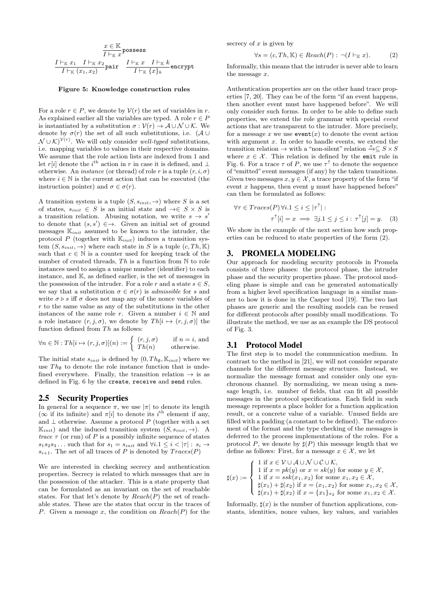$$
\frac{x \in \mathbb{K}}{I \vdash_{\mathbb{K}} x}
$$
 possess  

$$
\frac{I \vdash_{\mathbb{K}} x_1 \quad I \vdash_{\mathbb{K}} x_2}{I \vdash_{\mathbb{K}} (x_1, x_2)}
$$
pair 
$$
\frac{I \vdash_{\mathbb{K}} x \quad I \vdash_{\mathbb{K}} k}{I \vdash_{\mathbb{K}} \{x\}_k}
$$
 encrypt

#### Figure 5: Knowledge construction rules

For a role  $r \in P$ , we denote by  $V(r)$  the set of variables in r. As explained earlier all the variables are typed. A role  $r \in P$ is instantiated by a substitution  $\sigma : \mathcal{V}(r) \to \mathcal{A} \cup \mathcal{N} \cup \mathcal{K}$ . We denote by  $\sigma(r)$  the set of all such substitutions, i.e. ( $\mathcal{A} \cup$  $\mathcal{N} \cup \mathcal{K}$ <sup> $\mathcal{V}(r)$ </sup>. We will only consider *well-typed* substitutions, i.e. mapping variables to values in their respective domains. We assume that the role action lists are indexed from 1 and let r[i] denote the i<sup>th</sup> action in r in case it is defined, and  $\perp$ otherwise. An *instance* (or thread) of role r is a tuple  $(r, i, \sigma)$ where  $i \in \mathbb{N}$  is the current action that can be executed (the instruction pointer) and  $\sigma \in \sigma(r)$ .

A transition system is a tuple  $(S, s_{init}, \rightarrow)$  where S is a set of states,  $s_{init} \in S$  is an initial state and  $\rightarrow \in S \times S$  is a transition relation. Abusing notation, we write  $s \to s'$ to denote that  $(s, s') \in \rightarrow$ . Given an initial set of ground messages  $\mathbb{K}_{init}$  assumed to be known to the intruder, the protocol P (together with  $\mathbb{K}_{init}$ ) induces a transition system  $(S, s_{init}, \rightarrow)$  where each state in S is a tuple  $(c, Th, K)$ such that  $c \in \mathbb{N}$  is a counter used for keeping track of the number of created threads,  $Th$  is a function from  $N$  to role instances used to assign a unique number (identifier) to each instance, and K, as defined earlier, is the set of messages in the possession of the intruder. For a role r and a state  $s \in S$ , we say that a substitution  $\sigma \in \sigma(r)$  is *admissible* for s and write  $\sigma \triangleright s$  iff  $\sigma$  does not map any of the nonce variables of  $r$  to the same value as any of the substitutions in the other instances of the same role r. Given a number  $i \in \mathbb{N}$  and a role instance  $(r, j, \sigma)$ , we denote by  $Th[i \mapsto (r, j, \sigma)]$  the function defined from  $Th$  as follows:

$$
\forall n \in \mathbb{N} : Th[i \mapsto (r, j, \sigma)](n) := \begin{cases} (r, j, \sigma) & \text{if } n = i, \text{ and} \\ Th(n) & \text{otherwise.} \end{cases}
$$

The initial state  $s_{init}$  is defined by  $(0, Th_{\emptyset}, K_{init})$  where we use  $Th_{\emptyset}$  to denote the role instance function that is undefined everywhere. Finally, the transition relation  $\rightarrow$  is as defined in Fig. 6 by the create, receive and send rules.

#### 2.5 Security Properties

In general for a sequence  $\pi$ , we use  $|\pi|$  to denote its length ( $\infty$  if its infinite) and  $\pi[i]$  to denote its i<sup>th</sup> element if any, and  $\perp$  otherwise. Assume a protocol P (together with a set  $\mathbb{K}_{init}$  and the induced transition system  $(S, s_{init}, \rightarrow)$ . A *trace*  $\tau$  (or run) of P is a possibly infinite sequence of states  $s_1s_2s_3...$  such that for  $s_1 = s_{init}$  and  $\forall i.1 \leq i \leq |\tau| : s_i \rightarrow$  $s_{i+1}$ . The set of all traces of P is denoted by  $Trace(P)$ 

We are interested in checking secrecy and authentication properties. Secrecy is related to which messages that are in the possession of the attacker. This is a state property that can be formulated as an invariant on the set of reachable states. For that let's denote by  $Reach(P)$  the set of reachable states. These are the states that occur in the traces of P. Given a message x, the condition on  $Reach(P)$  for the secrecy of  $x$  is given by

$$
\forall s = (c, Th, \mathbb{K}) \in \text{Reach}(P) : \neg (I \vdash_{\mathbb{K}} x). \tag{2}
$$

Informally, this means that the intruder is never able to learn the message x.

Authentication properties are on the other hand trace properties [7, 20]. They can be of the form "if an event happens, then another event must have happened before". We will only consider such forms. In order to be able to define such properties, we extend the role grammar with special *event* actions that are transparent to the intruder. More precisely, for a message x we use  $\mathsf{event}(x)$  to denote the event action with argument  $x$ . In order to handle events, we extend the transition relation  $\rightarrow$  with a "non-silent" relation  $\stackrel{x}{\rightarrow} \subset S \times S$ where  $x \in \mathcal{X}$ . This relation is defined by the emit rule in Fig. 6. For a trace  $\tau$  of P, we use  $\tau^{\uparrow}$  to denote the sequence of "emitted" event messages (if any) by the taken transitions. Given two messages  $x, y \in \mathcal{X}$ , a trace property of the form "if event  $x$  happens, then event  $y$  must have happened before" can then be formulated as follows:

$$
\forall \tau \in Traces(P) \,\forall i. 1 \le i \le |\tau^{\uparrow}|:
$$
  

$$
\tau^{\uparrow}[i] = x \implies \exists j. 1 \le j \le i : \tau^{\uparrow}[j] = y. \tag{3}
$$

We show in the example of the next section how such properties can be reduced to state properties of the form (2).

## 3. PROMELA MODELING

Our approach for modeling security protocols in Promela consists of three phases: the protocol phase, the intruder phase and the security properties phase. The protocol modeling phase is simple and can be generated automatically from a higher level specification language in a similar manner to how it is done in the Casper tool [19]. The two last phases are generic and the resulting models can be reused for different protocols after possibly small modifications. To illustrate the method, we use as an example the DS protocol of Fig. 3.

#### 3.1 Protocol Model

The first step is to model the communication medium. In contrast to the method in [21], we will not consider separate channels for the different message structures. Instead, we normalize the message format and consider only one synchronous channel. By normalizing, we mean using a message length, i.e. number of fields, that can fit all possible messages in the protocol specifications. Each field in such message represents a place holder for a function application result, or a concrete value of a variable. Unused fields are filled with a padding (a constant to be defined). The enforcement of the format and the type checking of the messages is deferred to the process implementations of the roles. For a protocol P, we denote by  $\sharp(P)$  this message length that we define as follows: First, for a message  $x \in \mathcal{X}$ , we let

$$
\sharp(x) := \begin{cases}\n1 \text{ if } x \in \mathcal{V} \cup \mathcal{A} \cup \mathcal{N} \cup \mathcal{C} \cup \mathcal{K}, \\
1 \text{ if } x = pk(y) \text{ or } x = sk(y) \text{ for some } y \in \mathcal{X}, \\
1 \text{ if } x = ssk(x_1, x_2) \text{ for some } x_1, x_2 \in \mathcal{X}, \\
\sharp(x_1) + \sharp(x_2) \text{ if } x = (x_1, x_2) \text{ for some } x_1, x_2 \in \mathcal{X}, \\
\sharp(x_1) + \sharp(x_2) \text{ if } x = \{x_1\}_{x_2} \text{ for some } x_1, x_2 \in \mathcal{X}.\n\end{cases}
$$

Informally,  $\sharp(x)$  is the number of function applications, constants, identities, nonce values, key values, and variables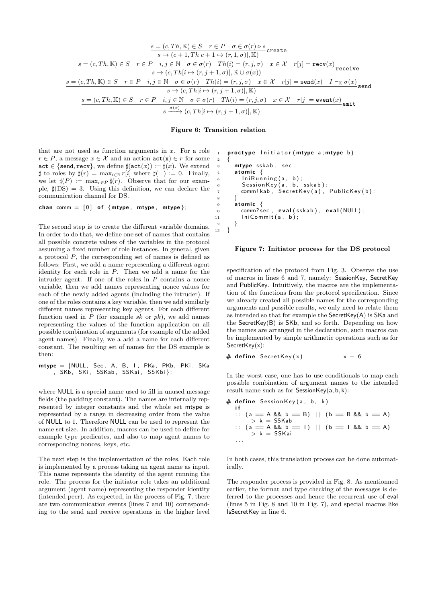$$
\frac{s = (c, Th, \mathbb{K}) \in S \quad r \in P \quad \sigma \in \sigma(r) \rhd s}{s \to (c+1, Th[c+1 \to (r,1,\sigma)], \mathbb{K})} \text{create}
$$
\n
$$
\frac{s = (c, Th, \mathbb{K}) \in S \quad r \in P \quad i, j \in \mathbb{N} \quad \sigma \in \sigma(r) \quad Th(i) = (r, j, \sigma) \quad x \in \mathcal{X} \quad r[j] = \text{recv}(x)}{s \to (c, Th[i \to (r, j+1, \sigma)], \mathbb{K} \cup \sigma(x))} \text{receive}
$$
\n
$$
\frac{s = (c, Th, \mathbb{K}) \in S \quad r \in P \quad i, j \in \mathbb{N} \quad \sigma \in \sigma(r) \quad Th(i) = (r, j, \sigma) \quad x \in \mathcal{X} \quad r[j] = \text{send}(x) \quad I \vdash_{\mathbb{K}} \sigma(x)}{s \to (c, Th[i \to (r, j+1, \sigma)], \mathbb{K})} \text{send}
$$
\n
$$
\frac{s = (c, Th, \mathbb{K}) \in S \quad r \in P \quad i, j \in \mathbb{N} \quad \sigma \in \sigma(r) \quad Th(i) = (r, j, \sigma) \quad x \in \mathcal{X} \quad r[j] = \text{event}(x)}{s \quad \sigma(x)} \text{emit}
$$
\n
$$
\frac{\sigma(x)}{s \to (c, Th[i \to (r, j+1, \sigma)], \mathbb{K})} \text{send}
$$

Figure 6: Transition relation

 $\overline{2}$ 

that are not used as function arguments in  $x$ . For a role  $r \in P$ , a message  $x \in \mathcal{X}$  and an action  $\text{act}(x) \in r$  for some  $act \in \{send,recv\}$ , we define  $\sharp (act(x)) := \sharp (x)$ . We extend  $\sharp$  to roles by  $\sharp(r) = \max_{i \in \mathbb{N}} r[i]$  where  $\sharp(\bot) := 0$ . Finally, we let  $\sharp(P) := \max_{r \in P} \sharp(r)$ . Observe that for our example,  $\sharp$ (DS) = 3. Using this definition, we can declare the communication channel for DS.

chan comm =  $[0]$  of {mtype, mtype, mtype};

The second step is to create the different variable domains. In order to do that, we define one set of names that contains all possible concrete values of the variables in the protocol assuming a fixed number of role instances. In general, given a protocol P, the corresponding set of names is defined as follows: First, we add a name representing a different agent identity for each role in  $P$ . Then we add a name for the intruder agent. If one of the roles in  $P$  contains a nonce variable, then we add names representing nonce values for each of the newly added agents (including the intruder). If one of the roles contains a key variable, then we add similarly different names representing key agents. For each different function used in  $P$  (for example sk or  $pk$ ), we add names representing the values of the function application on all possible combination of arguments (for example of the added agent names). Finally, we a add a name for each different constant. The resulting set of names for the DS example is then:

 $mtype = \{NULL, Sec, A, B, I, PKa, PKb, PKi, SKa$ , SKb , SKi , SSKab , SSKai , SSKbi } ;

where NULL is a special name used to fill in unused message fields (the padding constant). The names are internally represented by integer constants and the whole set mtype is represented by a range in decreasing order from the value of NULL to 1. Therefore NULL can be used to represent the name set size. In addition, macros can be used to define for example type predicates, and also to map agent names to corresponding nonces, keys, etc.

The next step is the implementation of the roles. Each role is implemented by a process taking an agent name as input. This name represents the identity of the agent running the role. The process for the initiator role takes an additional argument (agent name) representing the responder identity (intended peer). As expected, in the process of Fig. 7, there are two communication events (lines 7 and 10) corresponding to the send and receive operations in the higher level

```
1 proctype Initiator (mtype a; mtype b)
3 mtype sskab, sec;
      atomic \{5 Ini\mathsf{Running}\left(\mathsf{a}\,,\, \mathsf{b}\right) ;
 _6 Session Key (a, b, sskab);
        comm! kab, S ecretKey(a), PublicKey(b);
 8 }
9 atomic {
10 comm? sec, eval (sskab), eval (NULL);
11 \text{IniCommit}(a, b);
12 }
13 }
```
#### Figure 7: Initiator process for the DS protocol

specification of the protocol from Fig. 3. Observe the use of macros in lines 6 and 7, namely: SessionKey, SecretKey and PublicKey. Intuitively, the macros are the implementation of the functions from the protocol specification. Since we already created all possible names for the corresponding arguments and possible results, we only need to relate them as intended so that for example the SecretKey(A) is SKa and the SecretKey(B) is SKb, and so forth. Depending on how the names are arranged in the declaration, such macros can be implemented by simple arithmetic operations such as for SecretKey(x):

```
\# define Secret Key (x) x - 6
```
In the worst case, one has to use conditionals to map each possible combination of argument names to the intended result name such as for  $S$ ession $Key(a, b, k)$ :

```
# define SessionKey(a, b, k)i f
   :: (a == A && b == B) || (b == B && b == A)<br>-> k = SSKab
   \therefore (a = A && b = I) || (b = I && b = A)
       \rightarrow k = SSKai
   . . .
```
In both cases, this translation process can be done automatically.

The responder process is provided in Fig. 8. As mentionned earlier, the format and type checking of the messages is deferred to the processes and hence the recurrent use of eval (lines 5 in Fig. 8 and 10 in Fig. 7), and special macros like IsSecretKey in line 6.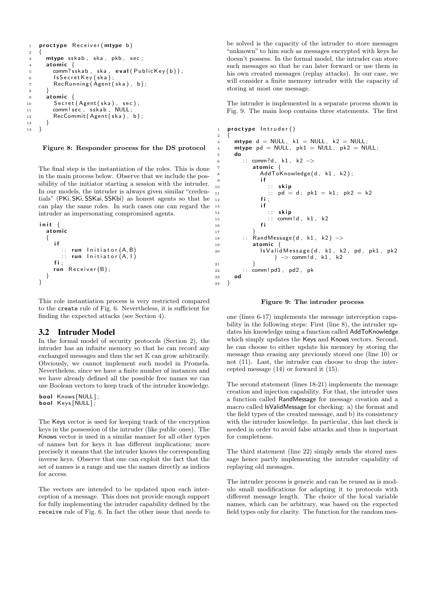```
1 proctype Receiver (mtype b)
2 {
3 mtype s skab, ska, pkb, sec;
4 atomic {<br>5 comm?sskab, ska,
5 comm? s skab, ska, e v al ( Public K e y ( b ) );
6 ls Secret Key (ska);
7 RecRunning (\overrightarrow{A}gent (ska), b);
 8 }
9 atomic \{10 Secret (Agent (ska), sec);
11 comm ! sec , sskab , NULL;
12 RecCommit (Agent ( ska ), b );
13 }
14 }
```
#### Figure 8: Responder process for the DS protocol

The final step is the instantiation of the roles. This is done in the main process below. Observe that we include the possibility of the initiator starting a session with the intruder. In our models, the intruder is always given similar "credentials" (PKi, SKi, SSKai, SSKbi) as honest agents so that he can play the same roles. In such cases one can regard the intruder as impersonating compromised agents.

```
init {
  a tomic
  {
     i f
       :: run Initiator (A, B)\cdots run Initiator (A, I)f i ;
     run Receiver (B);
  }
}
```
This role instantiation process is very restricted compared to the create rule of Fig. 6. Nevertheless, it is sufficient for finding the expected attacks (see Section 4).

## 3.2 Intruder Model

In the formal model of security protocols (Section 2), the intruder has an infinite memory so that he can record any exchanged messages and thus the set K can grow arbitrarily. Obviously, we cannot implement such model in Promela. Nevertheless, since we have a finite number of instances and we have already defined all the possible free names we can use Boolean vectors to keep track of the intruder knowledge.

bool Knows [NULL]: bool Keys [NULL];

The Keys vector is used for keeping track of the encryption keys in the possession of the intruder (like public ones). The Knows vector is used in a similar manner for all other types of names but for keys it has different implications; more precisely it means that the intruder knows the corresponding inverse keys. Observe that one can exploit the fact that the set of names is a range and use the names directly as indices for access.

The vectors are intended to be updated upon each interception of a message. This does not provide enough support for fully implementing the intruder capability defined by the receive rule of Fig. 6. In fact the other issue that needs to be solved is the capacity of the intruder to store messages "unknown" to him such as messages encrypted with keys he doesn't possess. In the formal model, the intruder can store such messages so that he can later forward or use them in his own created messages (replay attacks). In our case, we will consider a finite memory intruder with the capacity of storing at most one message.

The intruder is implemented in a separate process shown in Fig. 9. The main loop contains three statements. The first

```
1 proctype Intruder()2 {
\frac{1}{3} mtype d = NULL, k1 = NULL, k2 = NULL;
4 mtype pd = NULL, pk1 = NULL, pk2 = NULL;
\begin{matrix}5 & \mathbf{do} \\ \mathbf{e} & \mathbf{e} \end{matrix}6 :: comm?d, k1, k2 ->
7 atomic \{8 AddToKnowledge(d, k1, k2);
9 i f
10 :: skip
11 :: pd = d; pk1 = k1; pk2 = k212 fi ;
13 if
14 :: skip
15 : \text{comm}! \, \text{d}, \text{k}1, \text{k}2<br>16 fi
16 fi
17 }
18 :: RandMessage (d, k1, k2) ->
19 atomic {
20 Is Valid Message (d, k1, k2, pd, pk1, pk2<br>(-> comm!d, k1, k2 ) → comm!d, k1, k2
21 }
22 :: comm ! pd1 , pd2 , pk<br>23 od
     23 od
24 }
```
#### Figure 9: The intruder process

one (lines 6-17) implements the message interception capability in the following steps: First (line 8), the intruder updates his knowledge using a function called AddToKnowledge which simply updates the Keys and Knows vectors. Second, he can choose to either update his memory by storing the message thus erasing any previously stored one (line 10) or not (11). Last, the intruder can choose to drop the intercepted message (14) or forward it (15).

The second statement (lines 18-21) implements the message creation and injection capability. For that, the intruder uses a function called RandMessage for message creation and a macro called IsValidMessage for checking: a) the format and the field types of the created message, and b) its consistency with the intruder knowledge. In particular, this last check is needed in order to avoid false attacks and thus is important for completness.

The third statement (line 22) simply sends the stored message hence partly implementing the intruder capability of replaying old messages.

The intruder process is generic and can be reused as is modulo small modifications for adapting it to protocols with different message length. The choice of the local variable names, which can be arbitrary, was based on the expected field types only for clarity. The function for the random mes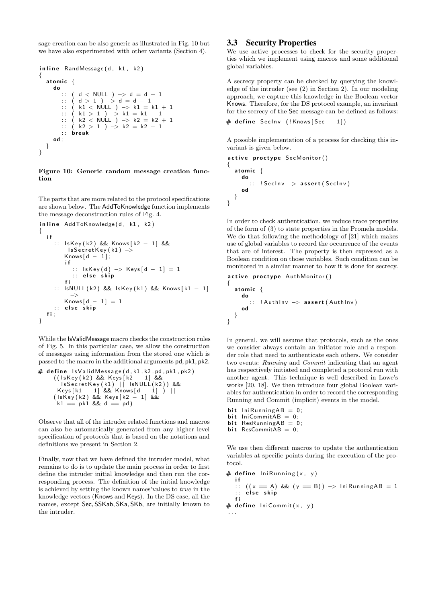sage creation can be also generic as illustrated in Fig. 10 but we have also experimented with other variants (Section 4).

```
in line RandMessage(d, k1, k2){
  atomic {
    do
       :: ( d < NULL ) -> d = d + 1<br>
∴ ( d > 1 ) -> d = d - 1
        :: (d > 1) \rightarrow d = d - 1: : ( k1 < NULL ) −> k1 = k1 + 1
       :: (k1 > 1) → k1 = k1 - 1:: ( k2 < NULL ) -> k2 = k2 + 1:: (k2 > 1) \rightarrow k2 = k2 - 1: : b r e a k
    od ;
  }
}
```
#### Figure 10: Generic random message creation function

The parts that are more related to the protocol specifications are shown below. The AddToKnowledge function implements the message deconstruction rules of Fig. 4.

```
in line AddToKnowledge(d, k1, k2){
  i f
     :: IsKey (k2) && Knows [k2 - 1] &&
          Is SecretKey(k1) \rightarrowKnows \begin{bmatrix} d & - & 1 \end{bmatrix};
         i f
            :: IsKey(d) \Rightarrow Keys[d - 1] = 1:: else skip
         f i
     :: IsNULL (k2) && IsKey (k1) && Knows [k1 - 1]
            −>
          <code>Knows[d -1] = 1</code>
     :: else skip
   fi:
}
```
While the IsValidMessage macro checks the construction rules of Fig. 5. In this particular case, we allow the construction of messages using information from the stored one which is passed to the macro in the additional arguments pd, pk1, pk2.

```
# define lsValidMessage(d, k1, k2, pd, pk1, pk2)((1sKey(k2) & & \& Keys[k2 - 1] & \&Is<code>SecretKey(k1)</code> || Is<code>NULL(k2)) &&</code>
      Keys[k1 − 1] && Knows[d − 1] ) ||
     (1s Key(k2) && Keys[k2 - 1] &&
      k1 = ph1 && d = pd)
```
Observe that all of the intruder related functions and macros can also be automatically generated from any higher level specification of protocols that is based on the notations and definitions we present in Section 2.

Finally, now that we have defined the intruder model, what remains to do is to update the main process in order to first define the intruder initial knowledge and then run the corresponding process. The definition of the initial knowledge is achieved by setting the known names'values to *true* in the knowledge vectors (Knows and Keys). In the DS case, all the names, except Sec, SSKab, SKa, SKb, are initially known to the intruder.

# 3.3 Security Properties

We use active processes to check for the security properties which we implement using macros and some additional global variables.

A secrecy property can be checked by querying the knowledge of the intruder (see (2) in Section 2). In our modeling approach, we capture this knowledge in the Boolean vector Knows. Therefore, for the DS protocol example, an invariant for the secrecy of the Sec message can be defined as follows:

```
# define SecInv (! Knows [Sec - 1])
```
A possible implementation of a process for checking this invariant is given below.

```
active proctype SecMonitor()
\mathcal{L}_{\mathcal{L}_{\mathcal{L}}}atomic {
      do
         :: ! SecInv -> assert (SecInv)
      od
  }
}
```
In order to check authentication, we reduce trace properties of the form of (3) to state properties in the Promela models. We do that following the methodology of [21] which makes use of global variables to record the occurrence of the events that are of interest. The property is then expressed as a Boolean condition on those variables. Such condition can be monitored in a similar manner to how it is done for secrecy.

```
active proctype AuthMonitor()
{
  atomic {
    do
      :: !AuthInv -> assert (AuthInv)
    od
 }
}
```
In general, we will assume that protocols, such as the ones we consider always contain an initiator role and a responder role that need to authenticate each others. We consider two events: *Running* and *Commit* indicating that an agent has respectively initiated and completed a protocol run with another agent. This technique is well described in Lowe's works [20, 18]. We then introduce four global Boolean variables for authentication in order to record the corresponding Running and Commit (implicit) events in the model.

- bit  $IniRunningAB = 0$ ; bit  $linCommitAB = 0$ ;
- bit ResRunning $AB = 0$ ; bit  $ResCommitAB = 0$ ;

We use then different macros to update the authentication

variables at specific points during the execution of the protocol. # define  $linkunning(x, y)$ 

```
i f
   :: ((x = A) \& (y = B)) \rightarrow \text{IniRunningAB} = 1\therefore else skip
   f i
# define IniCommit(x, y). . .
```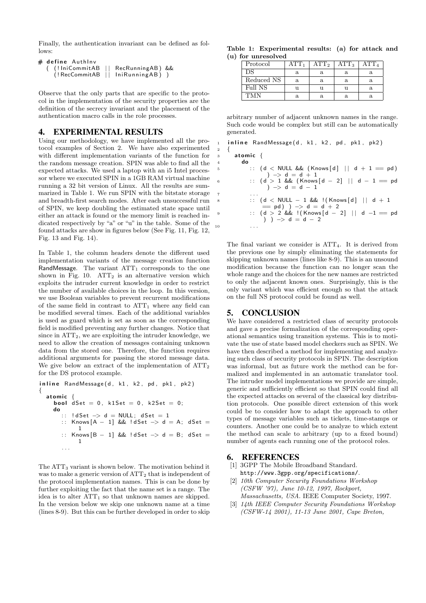Finally, the authentication invariant can be defined as follows:

| # <b>define</b> AuthInv            |                                        |  |
|------------------------------------|----------------------------------------|--|
| ((!IniCommitAB    RecRunningAB) && |                                        |  |
|                                    | $($ RecCommitAB $  $ IniRunningAB) $)$ |  |

Observe that the only parts that are specific to the protocol in the implementation of the security properties are the definition of the secrecy invariant and the placement of the authentication macro calls in the role processes.

# 4. EXPERIMENTAL RESULTS

Using our methodology, we have implemented all the protocol examples of Section 2. We have also experimented with different implementation variants of the function for the random message creation. SPIN was able to find all the expected attacks. We used a laptop with an i5 Intel processor where we executed SPIN in a 1GB RAM virtual machine running a 32 bit version of Linux. All the results are summarized in Table 1. We run SPIN with the bitstate storage and breadth-first search modes. After each unsuccessful run of SPIN, we keep doubling the estimated state space until either an attack is found or the memory limit is reached indicated respectively by "a" or "u" in the table. Some of the found attacks are show in figures below (See Fig. 11, Fig. 12, Fig. 13 and Fig. 14).

In Table 1, the column headers denote the different used implementation variants of the message creation function RandMessage. The variant  $ATT<sub>1</sub>$  corresponds to the one shown in Fig. 10.  $ATT<sub>2</sub>$  is an alternative version which exploits the intruder current knowledge in order to restrict the number of available choices in the loop. In this version, we use Boolean variables to prevent recurrent modifications of the same field in contrast to  $ATT_1$  where any field can be modified several times. Each of the additional variables is used as guard which is set as soon as the corresponding field is modified preventing any further changes. Notice that since in  $ATT<sub>2</sub>$ , we are exploiting the intruder knowledge, we need to allow the creation of messages containing unknown data from the stored one. Therefore, the function requires additional arguments for passing the stored message data. We give below an extract of the implementation of  $ATT<sub>2</sub>$ for the DS protocol example.

```
in line RandMessage(d, k1, k2, pd, pk1, pk2)
{
  atomic \{bool \overrightarrow{ds} et = 0, k1Set = 0, k2Set = 0;
     do
          : dSet \Rightarrow d = NULL; dSet = 1: : Knows [A - 1] && ! dSet \Rightarrow d = A; dSet =
              1
           x = Knows [B - 1] && ! dSet \rightarrow d = B; dSet =
              1
        . . .
```
The  $ATT_3$  variant is shown below. The motivation behind it was to make a generic version of ATT<sub>2</sub> that is independent of the protocol implementation names. This is can be done by further exploiting the fact that the name set is a range. The idea is to alter  $ATT_1$  so that unknown names are skipped. In the version below we skip one unknown name at a time (lines 8-9). But this can be further developed in order to skip

Table 1: Experimental results: (a) for attack and (u) for unresolved

| Protocol   | ATT. | $\mathrm{ATT}_2$ | $\mathrm{ATT}_3$ | A'I"Fa |
|------------|------|------------------|------------------|--------|
| DS         |      | а                |                  |        |
| Reduced NS | а    | а                | а                |        |
| Full NS    |      |                  |                  |        |
|            |      |                  |                  |        |

arbitrary number of adjacent unknown names in the range. Such code would be complex but still can be automatically generated.

#### $1$  in line Rand Message (d, k1, k2, pd, pk1, pk2) <sup>2</sup> {

 $3$  atomic {

| $\overline{4}$ | do |                                                 |
|----------------|----|-------------------------------------------------|
| -5             |    | :: $(d <$ NULL && $(Knows[d] \mid d + 1 == pd)$ |
|                |    | ) $\rightarrow$ d = d + 1                       |
| -6             |    | :: $(d > 1 \&c$ (Knows $[d - 2]$   $d - 1$ = pd |
|                |    | ) $\rightarrow$ d = d - 1                       |
|                |    |                                                 |
| 8              |    | :: $(d < NULL - 1 \& ($   (Knows $[d]    d + 1$ |
|                |    | $=$ pd) $)$ $\rightarrow$ d = d + 2             |
| - 9            |    | :: $(d > 2 \&\&$ !(Knows[d - 2]    d -1 == pd   |
|                |    | ) $) \rightarrow d = d - 2$                     |
| 10             |    |                                                 |
|                |    |                                                 |

The final variant we consider is  $ATT<sub>4</sub>$ . It is derived from the previous one by simply eliminating the statements for skipping unknown names (lines like 8-9). This is an unsound modification because the function can no longer scan the whole range and the choices for the new names are restricted to only the adjacent known ones. Surprisingly, this is the only variant which was efficient enough so that the attack on the full NS protocol could be found as well.

# 5. CONCLUSION

We have considered a restricted class of security protocols and gave a precise formalization of the corresponding operational semantics using transition systems. This is to motivate the use of state based model checkers such as SPIN. We have then described a method for implementing and analyzing such class of security protocols in SPIN. The description was informal, but as future work the method can be formalized and implemented in an automatic translator tool. The intruder model implementations we provide are simple, generic and sufficiently efficient so that SPIN could find all the expected attacks on several of the classical key distribution protocols. One possible direct extension of this work could be to consider how to adapt the approach to other types of message variables such as tickets, time-stamps or counters. Another one could be to analyze to which extent the method can scale to arbitrary (up to a fixed bound) number of agents each running one of the protocol roles.

# 6. REFERENCES

- [1] 3GPP The Mobile Broadband Standard. http://www.3gpp.org/specifications/.
- [2] *10th Computer Security Foundations Workshop (CSFW '97), June 10-12, 1997, Rockport, Massachusetts, USA*. IEEE Computer Society, 1997.
- [3] *14th IEEE Computer Security Foundations Workshop (CSFW-14 2001), 11-13 June 2001, Cape Breton,*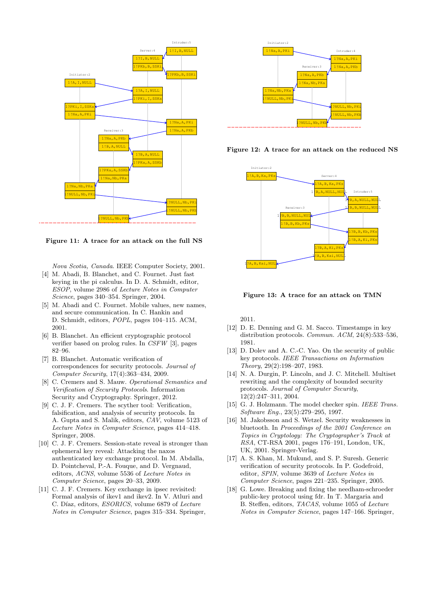

Figure 11: A trace for an attack on the full NS

*Nova Scotia, Canada*. IEEE Computer Society, 2001. [4] M. Abadi, B. Blanchet, and C. Fournet. Just fast

- keying in the pi calculus. In D. A. Schmidt, editor, *ESOP*, volume 2986 of *Lecture Notes in Computer Science*, pages 340–354. Springer, 2004.
- [5] M. Abadi and C. Fournet. Mobile values, new names, and secure communication. In C. Hankin and D. Schmidt, editors, *POPL*, pages 104–115. ACM, 2001.
- [6] B. Blanchet. An efficient cryptographic protocol verifier based on prolog rules. In *CSFW* [3], pages 82–96.
- [7] B. Blanchet. Automatic verification of correspondences for security protocols. *Journal of Computer Security*, 17(4):363–434, 2009.
- [8] C. Cremers and S. Mauw. *Operational Semantics and Verification of Security Protocols*. Information Security and Cryptography. Springer, 2012.
- [9] C. J. F. Cremers. The scyther tool: Verification, falsification, and analysis of security protocols. In A. Gupta and S. Malik, editors, *CAV*, volume 5123 of *Lecture Notes in Computer Science*, pages 414–418. Springer, 2008.
- [10] C. J. F. Cremers. Session-state reveal is stronger than ephemeral key reveal: Attacking the naxos authenticated key exchange protocol. In M. Abdalla, D. Pointcheval, P.-A. Fouque, and D. Vergnaud, editors, *ACNS*, volume 5536 of *Lecture Notes in Computer Science*, pages 20–33, 2009.
- [11] C. J. F. Cremers. Key exchange in ipsec revisited: Formal analysis of ikev1 and ikev2. In V. Atluri and C. Díaz, editors, *ESORICS*, volume 6879 of *Lecture Notes in Computer Science*, pages 315–334. Springer,







Figure 13: A trace for an attack on TMN

2011.

- [12] D. E. Denning and G. M. Sacco. Timestamps in key distribution protocols. *Commun. ACM*, 24(8):533–536, 1981.
- [13] D. Dolev and A. C.-C. Yao. On the security of public key protocols. *IEEE Transactions on Information Theory*, 29(2):198–207, 1983.
- [14] N. A. Durgin, P. Lincoln, and J. C. Mitchell. Multiset rewriting and the complexity of bounded security protocols. *Journal of Computer Security*, 12(2):247–311, 2004.
- [15] G. J. Holzmann. The model checker spin. *IEEE Trans. Software Eng.*, 23(5):279–295, 1997.
- [16] M. Jakobsson and S. Wetzel. Security weaknesses in bluetooth. In *Proceedings of the 2001 Conference on Topics in Cryptology: The Cryptographer's Track at RSA*, CT-RSA 2001, pages 176–191, London, UK, UK, 2001. Springer-Verlag.
- [17] A. S. Khan, M. Mukund, and S. P. Suresh. Generic verification of security protocols. In P. Godefroid, editor, *SPIN*, volume 3639 of *Lecture Notes in Computer Science*, pages 221–235. Springer, 2005.
- [18] G. Lowe. Breaking and fixing the needham-schroeder public-key protocol using fdr. In T. Margaria and B. Steffen, editors, *TACAS*, volume 1055 of *Lecture Notes in Computer Science*, pages 147–166. Springer,